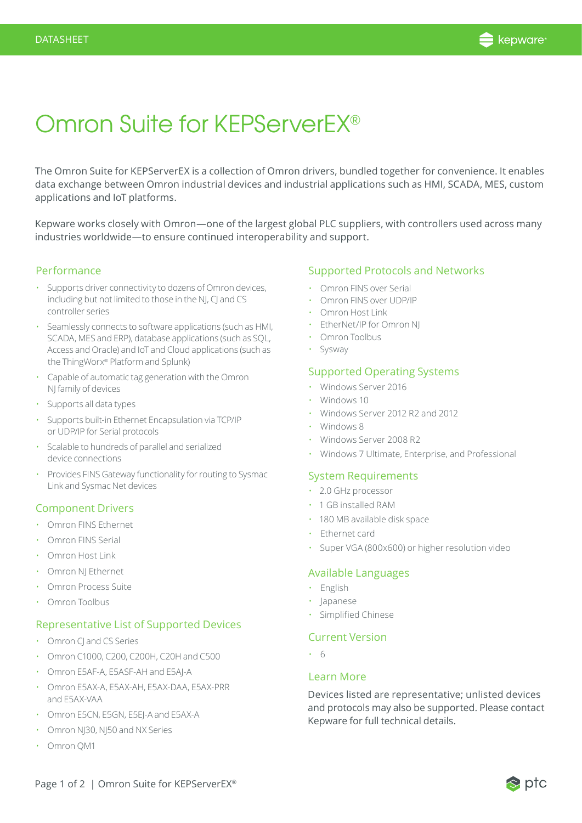

# Omron Suite for KEPServerEX®

The Omron Suite for KEPServerEX is a collection of Omron drivers, bundled together for convenience. It enables data exchange between Omron industrial devices and industrial applications such as HMI, SCADA, MES, custom applications and IoT platforms.

Kepware works closely with Omron—one of the largest global PLC suppliers, with controllers used across many industries worldwide—to ensure continued interoperability and support.

#### Performance

- Supports driver connectivity to dozens of Omron devices, including but not limited to those in the NJ, CJ and CS controller series
- Seamlessly connects to software applications (such as HMI, SCADA, MES and ERP), database applications (such as SQL, Access and Oracle) and IoT and Cloud applications (such as the ThingWorx® Platform and Splunk)
- Capable of automatic tag generation with the Omron NJ family of devices
- Supports all data types
- Supports built-in Ethernet Encapsulation via TCP/IP or UDP/IP for Serial protocols
- Scalable to hundreds of parallel and serialized device connections
- Provides FINS Gateway functionality for routing to Sysmac Link and Sysmac Net devices

## Component Drivers

- [Omron FINS Ethernet](https://www.kepware.com/products/kepserverex/drivers/Omron-FINS-Ethernet)
- [Omron FINS Serial](https://www.kepware.com/products/kepserverex/drivers/Omron-FINS-Serial)
- [Omron Host Link](https://www.kepware.com/products/kepserverex/drivers/Omron-Host-Link)
- [Omron NJ Ethernet](https://www.kepware.com/products/kepserverex/drivers/Omron-NJ-Ethernet)
- [Omron Process Suite](https://www.kepware.com/products/kepserverex/drivers/Omron-Process-Suite)
- [Omron Toolbus](https://www.kepware.com/products/kepserverex/drivers/Omron-Toolbus)

#### Representative List of Supported Devices

- Omron CJ and CS Series
- Omron C1000, C200, C200H, C20H and C500
- Omron E5AF-A, E5ASF-AH and E5AJ-A
- Omron E5AX-A, E5AX-AH, E5AX-DAA, E5AX-PRR and E5AX-VAA
- Omron E5CN, E5GN, E5EJ-A and E5AX-A
- Omron NJ30, NJ50 and NX Series
- Omron QM1

## Supported Protocols and Networks

- Omron FINS over Serial
- Omron FINS over UDP/IP
- Omron Host Link
- EtherNet/IP for Omron NJ
- Omron Toolbus
- Sysway

#### Supported Operating Systems

- Windows Server 2016
- Windows 10
- Windows Server 2012 R2 and 2012
- Windows 8
- Windows Server 2008 R2
- Windows 7 Ultimate, Enterprise, and Professional

#### System Requirements

- 2.0 GHz processor
- 1 GB installed RAM
- 180 MB available disk space
- Ethernet card
- Super VGA (800x600) or higher resolution video

#### Available Languages

- English
- Japanese
- Simplified Chinese

#### Current Version

• 6

#### Learn More

Devices listed are representative; unlisted devices and protocols may also be supported. Please contact Kepware for full technical details.